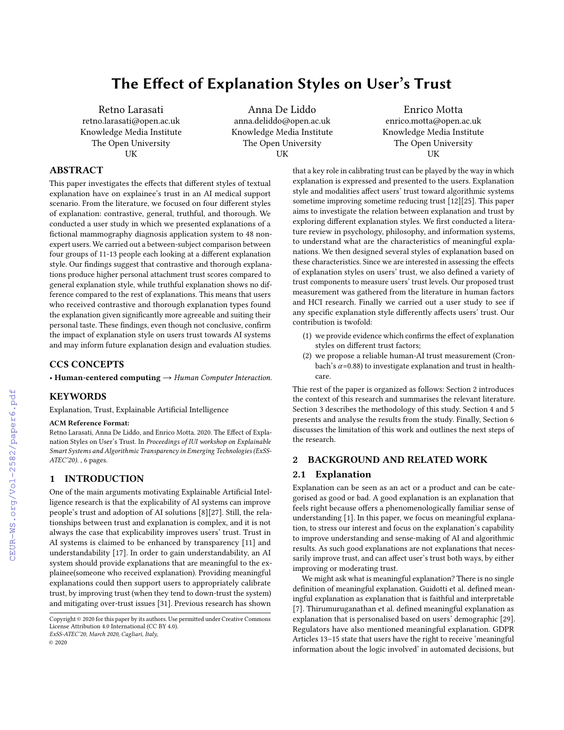# The Effect of Explanation Styles on User's Trust

Retno Larasati retno.larasati@open.ac.uk Knowledge Media Institute The Open University UK

Anna De Liddo anna.deliddo@open.ac.uk Knowledge Media Institute The Open University UK

Enrico Motta enrico.motta@open.ac.uk Knowledge Media Institute The Open University UK

# ABSTRACT

This paper investigates the effects that different styles of textual explanation have on explainee's trust in an AI medical support scenario. From the literature, we focused on four different styles of explanation: contrastive, general, truthful, and thorough. We conducted a user study in which we presented explanations of a fictional mammography diagnosis application system to 48 nonexpert users. We carried out a between-subject comparison between four groups of 11-13 people each looking at a different explanation style. Our findings suggest that contrastive and thorough explanations produce higher personal attachment trust scores compared to general explanation style, while truthful explanation shows no difference compared to the rest of explanations. This means that users who received contrastive and thorough explanation types found the explanation given significantly more agreeable and suiting their personal taste. These findings, even though not conclusive, confirm the impact of explanation style on users trust towards AI systems and may inform future explanation design and evaluation studies.

## CCS CONCEPTS

• Human-centered computing  $\rightarrow$  Human Computer Interaction.

## **KEYWORDS**

Explanation, Trust, Explainable Artificial Intelligence

#### ACM Reference Format:

Retno Larasati, Anna De Liddo, and Enrico Motta. 2020. The Effect of Explanation Styles on User's Trust. In Proceedings of IUI workshop on Explainable Smart Systems and Algorithmic Transparency in Emerging Technologies (ExSS-ATEC'20). , [6](#page--1-0) pages.

# 1 INTRODUCTION

One of the main arguments motivating Explainable Artificial Intelligence research is that the explicability of AI systems can improve people's trust and adoption of AI solutions [\[8\]](#page--1-1)[\[27\]](#page--1-2). Still, the relationships between trust and explanation is complex, and it is not always the case that explicability improves users' trust. Trust in AI systems is claimed to be enhanced by transparency [\[11\]](#page--1-3) and understandability [\[17\]](#page--1-4). In order to gain understandability, an AI system should provide explanations that are meaningful to the explainee(someone who received explanation). Providing meaningful explanations could then support users to appropriately calibrate trust, by improving trust (when they tend to down-trust the system) and mitigating over-trust issues [\[31\]](#page--1-5). Previous research has shown

ExSS-ATEC'20, March 2020, Cagliari, Italy,

© 2020

that a key role in calibrating trust can be played by the way in which explanation is expressed and presented to the users. Explanation style and modalities affect users' trust toward algorithmic systems sometime improving sometime reducing trust [\[12\]](#page--1-6)[\[25\]](#page--1-7). This paper aims to investigate the relation between explanation and trust by exploring different explanation styles. We first conducted a literature review in psychology, philosophy, and information systems, to understand what are the characteristics of meaningful explanations. We then designed several styles of explanation based on these characteristics. Since we are interested in assessing the effects of explanation styles on users' trust, we also defined a variety of trust components to measure users' trust levels. Our proposed trust measurement was gathered from the literature in human factors and HCI research. Finally we carried out a user study to see if any specific explanation style differently affects users' trust. Our contribution is twofold:

- (1) we provide evidence which confirms the effect of explanation styles on different trust factors;
- (2) we propose a reliable human-AI trust measurement (Cronbach's  $\alpha$ =0.88) to investigate explanation and trust in healthcare.

Thie rest of the paper is organized as follows: Section 2 introduces the context of this research and summarises the relevant literature. Section 3 describes the methodology of this study. Section 4 and 5 presents and analyse the results from the study. Finally, Section 6 discusses the limitation of this work and outlines the next steps of the research.

# 2 BACKGROUND AND RELATED WORK

## 2.1 Explanation

Explanation can be seen as an act or a product and can be categorised as good or bad. A good explanation is an explanation that feels right because offers a phenomenologically familiar sense of understanding [\[1\]](#page--1-8). In this paper, we focus on meaningful explanation, to stress our interest and focus on the explanation's capability to improve understanding and sense-making of AI and algorithmic results. As such good explanations are not explanations that necessarily improve trust, and can affect user's trust both ways, by either improving or moderating trust.

We might ask what is meaningful explanation? There is no single definition of meaningful explanation. Guidotti et al. defined meaningful explanation as explanation that is faithful and interpretable [\[7\]](#page--1-9). Thirumuruganathan et al. defined meaningful explanation as explanation that is personalised based on users' demographic [\[29\]](#page--1-10). Regulators have also mentioned meaningful explanation. GDPR Articles 13–15 state that users have the right to receive 'meaningful information about the logic involved' in automated decisions, but

Copyright © 2020 for this paper by its authors. Use permitted under Creative Commons License Attribution 4.0 International (CC BY 4.0).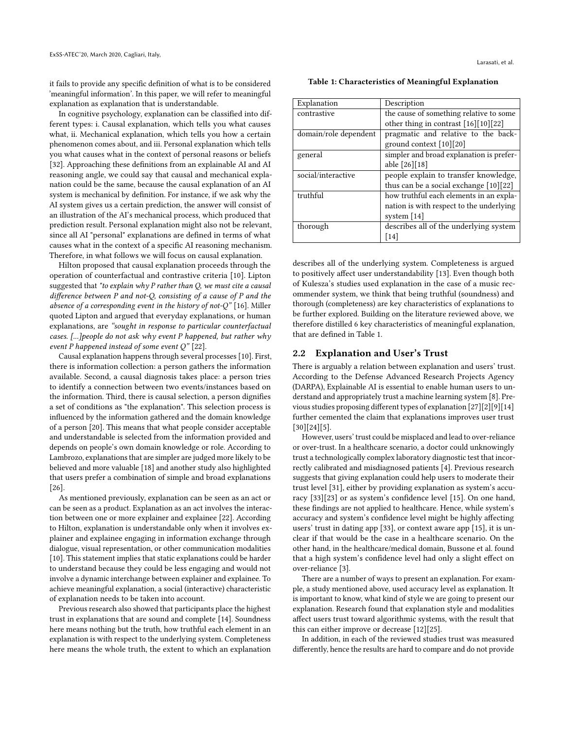it fails to provide any specific definition of what is to be considered 'meaningful information'. In this paper, we will refer to meaningful explanation as explanation that is understandable.

In cognitive psychology, explanation can be classified into different types: i. Causal explanation, which tells you what causes what, ii. Mechanical explanation, which tells you how a certain phenomenon comes about, and iii. Personal explanation which tells you what causes what in the context of personal reasons or beliefs [\[32\]](#page-5-0). Approaching these definitions from an explainable AI and AI reasoning angle, we could say that causal and mechanical explanation could be the same, because the causal explanation of an AI system is mechanical by definition. For instance, if we ask why the AI system gives us a certain prediction, the answer will consist of an illustration of the AI's mechanical process, which produced that prediction result. Personal explanation might also not be relevant, since all AI "personal" explanations are defined in terms of what causes what in the context of a specific AI reasoning mechanism. Therefore, in what follows we will focus on causal explanation.

Hilton proposed that causal explanation proceeds through the operation of counterfactual and contrastive criteria [\[10\]](#page-5-1). Lipton suggested that "to explain why P rather than Q, we must cite a causal difference between P and not-Q, consisting of a cause of P and the absence of a corresponding event in the history of not- $Q''$  [\[16\]](#page-5-2). Miller quoted Lipton and argued that everyday explanations, or human explanations, are "sought in response to particular counterfactual cases. [...]people do not ask why event P happened, but rather why event P happened instead of some event  $Q''$  [\[22\]](#page-5-3).

Causal explanation happens through several processes [\[10\]](#page-5-1). First, there is information collection: a person gathers the information available. Second, a causal diagnosis takes place: a person tries to identify a connection between two events/instances based on the information. Third, there is causal selection, a person dignifies a set of conditions as "the explanation". This selection process is influenced by the information gathered and the domain knowledge of a person [\[20\]](#page-5-4). This means that what people consider acceptable and understandable is selected from the information provided and depends on people's own domain knowledge or role. According to Lambrozo, explanations that are simpler are judged more likely to be believed and more valuable [\[18\]](#page-5-5) and another study also highlighted that users prefer a combination of simple and broad explanations [\[26\]](#page-5-6).

As mentioned previously, explanation can be seen as an act or can be seen as a product. Explanation as an act involves the interaction between one or more explainer and explainee [\[22\]](#page-5-3). According to Hilton, explanation is understandable only when it involves explainer and explainee engaging in information exchange through dialogue, visual representation, or other communication modalities [\[10\]](#page-5-1). This statement implies that static explanations could be harder to understand because they could be less engaging and would not involve a dynamic interchange between explainer and explainee. To achieve meaningful explanation, a social (interactive) characteristic of explanation needs to be taken into account.

Previous research also showed that participants place the highest trust in explanations that are sound and complete [\[14\]](#page-5-7). Soundness here means nothing but the truth, how truthful each element in an explanation is with respect to the underlying system. Completeness here means the whole truth, the extent to which an explanation

<span id="page-1-0"></span>Table 1: Characteristics of Meaningful Explanation

| Explanation           | Description                              |
|-----------------------|------------------------------------------|
| contrastive           | the cause of something relative to some  |
|                       | other thing in contrast [16][10][22]     |
| domain/role dependent | pragmatic and relative to the back-      |
|                       | ground context [10][20]                  |
| general               | simpler and broad explanation is prefer- |
|                       | able [26][18]                            |
| social/interactive    | people explain to transfer knowledge,    |
|                       | thus can be a social exchange $[10][22]$ |
| truthful              | how truthful each elements in an expla-  |
|                       | nation is with respect to the underlying |
|                       | system $[14]$                            |
| thorough              | describes all of the underlying system   |
|                       | $\lceil 14 \rceil$                       |

describes all of the underlying system. Completeness is argued to positively affect user understandability [\[13\]](#page-5-8). Even though both of Kulesza's studies used explanation in the case of a music recommender system, we think that being truthful (soundness) and thorough (completeness) are key characteristics of explanations to be further explored. Building on the literature reviewed above, we therefore distilled 6 key characteristics of meaningful explanation, that are defined in Table [1.](#page-1-0)

#### 2.2 Explanation and User's Trust

There is arguably a relation between explanation and users' trust. According to the Defense Advanced Research Projects Agency (DARPA), Explainable AI is essential to enable human users to understand and appropriately trust a machine learning system [\[8\]](#page-5-9). Previous studies proposing different types of explanation [\[27\]](#page-5-10)[\[2\]](#page-5-11)[\[9\]](#page-5-12)[\[14\]](#page-5-7) further cemented the claim that explanations improves user trust  $[30][24][5]$  $[30][24][5]$  $[30][24][5]$ .

However, users' trust could be misplaced and lead to over-reliance or over-trust. In a healthcare scenario, a doctor could unknowingly trust a technologically complex laboratory diagnostic test that incorrectly calibrated and misdiagnosed patients [\[4\]](#page-5-16). Previous research suggests that giving explanation could help users to moderate their trust level [\[31\]](#page-5-17), either by providing explanation as system's accuracy [\[33\]](#page-5-18)[\[23\]](#page-5-19) or as system's confidence level [\[15\]](#page-5-20). On one hand, these findings are not applied to healthcare. Hence, while system's accuracy and system's confidence level might be highly affecting users' trust in dating app [\[33\]](#page-5-18), or context aware app [\[15\]](#page-5-20), it is unclear if that would be the case in a healthcare scenario. On the other hand, in the healthcare/medical domain, Bussone et al. found that a high system's confidence level had only a slight effect on over-reliance [\[3\]](#page-5-21).

There are a number of ways to present an explanation. For example, a study mentioned above, used accuracy level as explanation. It is important to know, what kind of style we are going to present our explanation. Research found that explanation style and modalities affect users trust toward algorithmic systems, with the result that this can either improve or decrease [\[12\]](#page-5-22)[\[25\]](#page-5-23).

In addition, in each of the reviewed studies trust was measured differently, hence the results are hard to compare and do not provide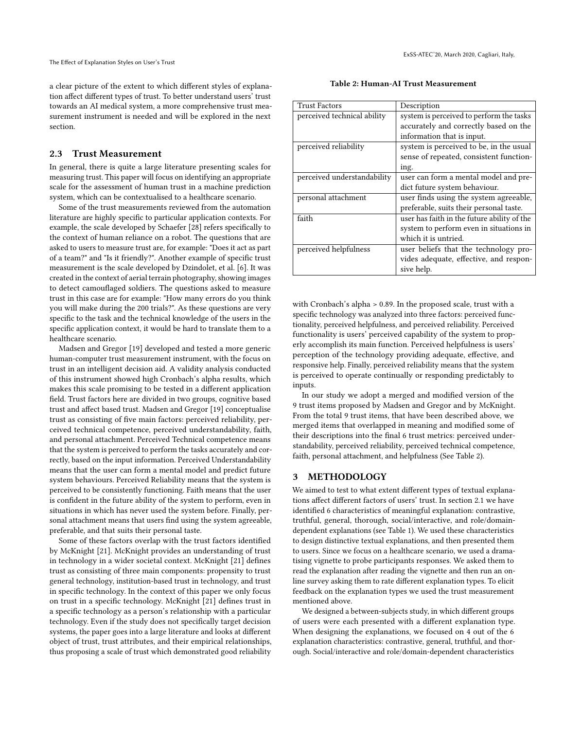a clear picture of the extent to which different styles of explanation affect different types of trust. To better understand users' trust towards an AI medical system, a more comprehensive trust measurement instrument is needed and will be explored in the next section.

#### 2.3 Trust Measurement

In general, there is quite a large literature presenting scales for measuring trust. This paper will focus on identifying an appropriate scale for the assessment of human trust in a machine prediction system, which can be contextualised to a healthcare scenario.

Some of the trust measurements reviewed from the automation literature are highly specific to particular application contexts. For example, the scale developed by Schaefer [\[28\]](#page-5-24) refers specifically to the context of human reliance on a robot. The questions that are asked to users to measure trust are, for example: "Does it act as part of a team?" and "Is it friendly?". Another example of specific trust measurement is the scale developed by Dzindolet, et al. [\[6\]](#page-5-25). It was created in the context of aerial terrain photography, showing images to detect camouflaged soldiers. The questions asked to measure trust in this case are for example: "How many errors do you think you will make during the 200 trials?". As these questions are very specific to the task and the technical knowledge of the users in the specific application context, it would be hard to translate them to a healthcare scenario.

Madsen and Gregor [\[19\]](#page-5-26) developed and tested a more generic human-computer trust measurement instrument, with the focus on trust in an intelligent decision aid. A validity analysis conducted of this instrument showed high Cronbach's alpha results, which makes this scale promising to be tested in a different application field. Trust factors here are divided in two groups, cognitive based trust and affect based trust. Madsen and Gregor [\[19\]](#page-5-26) conceptualise trust as consisting of five main factors: perceived reliability, perceived technical competence, perceived understandability, faith, and personal attachment. Perceived Technical competence means that the system is perceived to perform the tasks accurately and correctly, based on the input information. Perceived Understandability means that the user can form a mental model and predict future system behaviours. Perceived Reliability means that the system is perceived to be consistently functioning. Faith means that the user is confident in the future ability of the system to perform, even in situations in which has never used the system before. Finally, personal attachment means that users find using the system agreeable, preferable, and that suits their personal taste.

Some of these factors overlap with the trust factors identified by McKnight [\[21\]](#page-5-27). McKnight provides an understanding of trust in technology in a wider societal context. McKnight [\[21\]](#page-5-27) defines trust as consisting of three main components: propensity to trust general technology, institution-based trust in technology, and trust in specific technology. In the context of this paper we only focus on trust in a specific technology. McKnight [\[21\]](#page-5-27) defines trust in a specific technology as a person's relationship with a particular technology. Even if the study does not specifically target decision systems, the paper goes into a large literature and looks at different object of trust, trust attributes, and their empirical relationships, thus proposing a scale of trust which demonstrated good reliability

Table 2: Human-AI Trust Measurement

<span id="page-2-0"></span>

| <b>Trust Factors</b>        | Description                                 |
|-----------------------------|---------------------------------------------|
| perceived technical ability | system is perceived to perform the tasks    |
|                             | accurately and correctly based on the       |
|                             | information that is input.                  |
| perceived reliability       | system is perceived to be, in the usual     |
|                             | sense of repeated, consistent function-     |
|                             | ing.                                        |
| perceived understandability | user can form a mental model and pre-       |
|                             | dict future system behaviour.               |
| personal attachment         | user finds using the system agreeable,      |
|                             | preferable, suits their personal taste.     |
| faith                       | user has faith in the future ability of the |
|                             | system to perform even in situations in     |
|                             | which it is untried.                        |
| perceived helpfulness       | user beliefs that the technology pro-       |
|                             | vides adequate, effective, and respon-      |
|                             | sive help.                                  |

with Cronbach's alpha > 0.89. In the proposed scale, trust with a specific technology was analyzed into three factors: perceived functionality, perceived helpfulness, and perceived reliability. Perceived functionality is users' perceived capability of the system to properly accomplish its main function. Perceived helpfulness is users' perception of the technology providing adequate, effective, and responsive help. Finally, perceived reliability means that the system is perceived to operate continually or responding predictably to inputs.

In our study we adopt a merged and modified version of the 9 trust items proposed by Madsen and Gregor and by McKnight. From the total 9 trust items, that have been described above, we merged items that overlapped in meaning and modified some of their descriptions into the final 6 trust metrics: perceived understandability, perceived reliability, perceived technical competence, faith, personal attachment, and helpfulness (See Table [2\)](#page-2-0).

## 3 METHODOLOGY

We aimed to test to what extent different types of textual explanations affect different factors of users' trust. In section 2.1 we have identified 6 characteristics of meaningful explanation: contrastive, truthful, general, thorough, social/interactive, and role/domaindependent explanations (see Table [1\)](#page-1-0). We used these characteristics to design distinctive textual explanations, and then presented them to users. Since we focus on a healthcare scenario, we used a dramatising vignette to probe participants responses. We asked them to read the explanation after reading the vignette and then run an online survey asking them to rate different explanation types. To elicit feedback on the explanation types we used the trust measurement mentioned above.

We designed a between-subjects study, in which different groups of users were each presented with a different explanation type. When designing the explanations, we focused on 4 out of the 6 explanation characteristics: contrastive, general, truthful, and thorough. Social/interactive and role/domain-dependent characteristics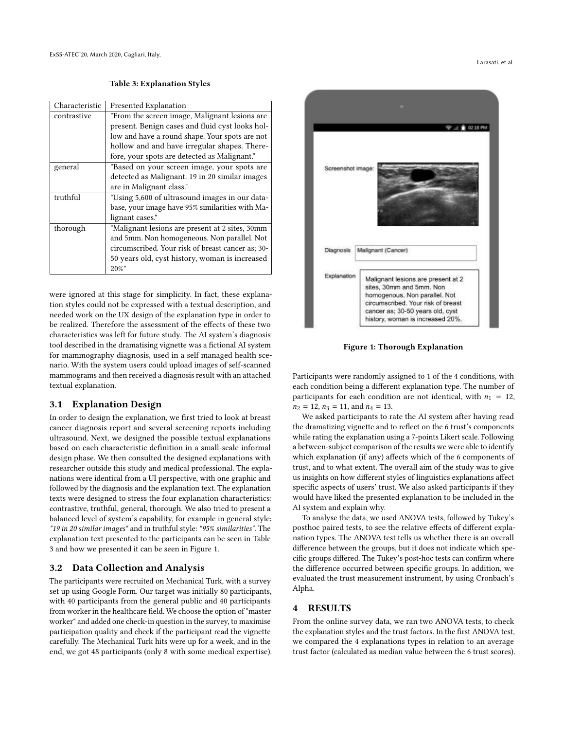Table 3: Explanation Styles

<span id="page-3-0"></span>

| Characteristic | Presented Explanation                             |
|----------------|---------------------------------------------------|
| contrastive    | "From the screen image, Malignant lesions are."   |
|                | present. Benign cases and fluid cyst looks hol-   |
|                | low and have a round shape. Your spots are not    |
|                | hollow and and have irregular shapes. There-      |
|                | fore, your spots are detected as Malignant."      |
| general        | "Based on your screen image, your spots are       |
|                | detected as Malignant. 19 in 20 similar images    |
|                | are in Malignant class."                          |
| truthful       | "Using 5,600 of ultrasound images in our data-    |
|                | base, your image have 95% similarities with Ma-   |
|                | lignant cases."                                   |
| thorough       | "Malignant lesions are present at 2 sites, 30mm   |
|                | and 5mm. Non homogeneous. Non parallel. Not       |
|                | circumscribed. Your risk of breast cancer as; 30- |
|                | 50 years old, cyst history, woman is increased    |
|                | $20\%$ "                                          |
|                |                                                   |

were ignored at this stage for simplicity. In fact, these explanation styles could not be expressed with a textual description, and needed work on the UX design of the explanation type in order to be realized. Therefore the assessment of the effects of these two characteristics was left for future study. The AI system's diagnosis tool described in the dramatising vignette was a fictional AI system for mammography diagnosis, used in a self managed health scenario. With the system users could upload images of self-scanned mammograms and then received a diagnosis result with an attached textual explanation.

## 3.1 Explanation Design

In order to design the explanation, we first tried to look at breast cancer diagnosis report and several screening reports including ultrasound. Next, we designed the possible textual explanations based on each characteristic definition in a small-scale informal design phase. We then consulted the designed explanations with researcher outside this study and medical professional. The explanations were identical from a UI perspective, with one graphic and followed by the diagnosis and the explanation text. The explanation texts were designed to stress the four explanation characteristics: contrastive, truthful, general, thorough. We also tried to present a balanced level of system's capability, for example in general style: "19 in 20 similar images" and in truthful style: "95% similarities". The explanation text presented to the participants can be seen in Table [3](#page-3-0) and how we presented it can be seen in Figure [1.](#page-3-1)

## 3.2 Data Collection and Analysis

The participants were recruited on Mechanical Turk, with a survey set up using Google Form. Our target was initially 80 participants, with 40 participants from the general public and 40 participants from worker in the healthcare field. We choose the option of "master worker" and added one check-in question in the survey, to maximise participation quality and check if the participant read the vignette carefully. The Mechanical Turk hits were up for a week, and in the end, we got 48 participants (only 8 with some medical expertise).

<span id="page-3-1"></span>

Figure 1: Thorough Explanation

Participants were randomly assigned to 1 of the 4 conditions, with each condition being a different explanation type. The number of participants for each condition are not identical, with  $n_1 = 12$ ,  $n_2 = 12$ ,  $n_3 = 11$ , and  $n_4 = 13$ .

We asked participants to rate the AI system after having read the dramatizing vignette and to reflect on the 6 trust's components while rating the explanation using a 7-points Likert scale. Following a between-subject comparison of the results we were able to identify which explanation (if any) affects which of the 6 components of trust, and to what extent. The overall aim of the study was to give us insights on how different styles of linguistics explanations affect specific aspects of users' trust. We also asked participants if they would have liked the presented explanation to be included in the AI system and explain why.

To analyse the data, we used ANOVA tests, followed by Tukey's posthoc paired tests, to see the relative effects of different explanation types. The ANOVA test tells us whether there is an overall difference between the groups, but it does not indicate which specific groups differed. The Tukey's post-hoc tests can confirm where the difference occurred between specific groups. In addition, we evaluated the trust measurement instrument, by using Cronbach's Alpha.

# 4 RESULTS

From the online survey data, we ran two ANOVA tests, to check the explanation styles and the trust factors. In the first ANOVA test, we compared the 4 explanations types in relation to an average trust factor (calculated as median value between the 6 trust scores).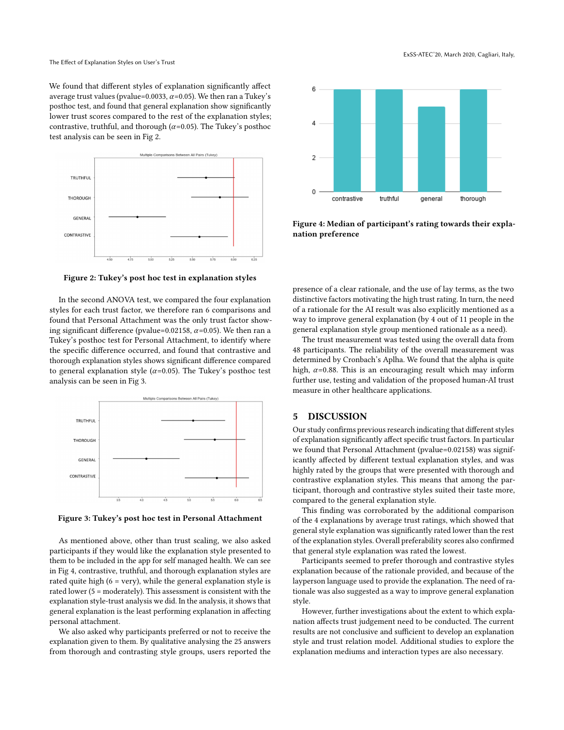We found that different styles of explanation significantly affect average trust values (pvalue=0.0033,  $\alpha$ =0.05). We then ran a Tukey's posthoc test, and found that general explanation show significantly lower trust scores compared to the rest of the explanation styles; contrastive, truthful, and thorough ( $\alpha$ =0.05). The Tukey's posthoc test analysis can be seen in Fig [2.](#page-4-0)

<span id="page-4-0"></span>

Figure 2: Tukey's post hoc test in explanation styles

In the second ANOVA test, we compared the four explanation styles for each trust factor, we therefore ran 6 comparisons and found that Personal Attachment was the only trust factor showing significant difference (pvalue=0.02158,  $\alpha$ =0.05). We then ran a Tukey's posthoc test for Personal Attachment, to identify where the specific difference occurred, and found that contrastive and thorough explanation styles shows significant difference compared to general explanation style ( $\alpha$ =0.05). The Tukey's posthoc test analysis can be seen in Fig [3.](#page-4-1)

<span id="page-4-1"></span>

Figure 3: Tukey's post hoc test in Personal Attachment

As mentioned above, other than trust scaling, we also asked participants if they would like the explanation style presented to them to be included in the app for self managed health. We can see in Fig [4,](#page-4-2) contrastive, truthful, and thorough explanation styles are rated quite high  $(6 = very)$ , while the general explanation style is rated lower (5 = moderately). This assessment is consistent with the explanation style-trust analysis we did. In the analysis, it shows that general explanation is the least performing explanation in affecting personal attachment.

We also asked why participants preferred or not to receive the explanation given to them. By qualitative analysing the 25 answers from thorough and contrasting style groups, users reported the

<span id="page-4-2"></span>

Figure 4: Median of participant's rating towards their explanation preference

presence of a clear rationale, and the use of lay terms, as the two distinctive factors motivating the high trust rating. In turn, the need of a rationale for the AI result was also explicitly mentioned as a way to improve general explanation (by 4 out of 11 people in the general explanation style group mentioned rationale as a need).

The trust measurement was tested using the overall data from 48 participants. The reliability of the overall measurement was determined by Cronbach's Aplha. We found that the alpha is quite high,  $\alpha$ =0.88. This is an encouraging result which may inform further use, testing and validation of the proposed human-AI trust measure in other healthcare applications.

## 5 DISCUSSION

Our study confirms previous research indicating that different styles of explanation significantly affect specific trust factors. In particular we found that Personal Attachment (pvalue=0.02158) was significantly affected by different textual explanation styles, and was highly rated by the groups that were presented with thorough and contrastive explanation styles. This means that among the participant, thorough and contrastive styles suited their taste more, compared to the general explanation style.

This finding was corroborated by the additional comparison of the 4 explanations by average trust ratings, which showed that general style explanation was significantly rated lower than the rest of the explanation styles. Overall preferability scores also confirmed that general style explanation was rated the lowest.

Participants seemed to prefer thorough and contrastive styles explanation because of the rationale provided, and because of the layperson language used to provide the explanation. The need of rationale was also suggested as a way to improve general explanation style.

However, further investigations about the extent to which explanation affects trust judgement need to be conducted. The current results are not conclusive and sufficient to develop an explanation style and trust relation model. Additional studies to explore the explanation mediums and interaction types are also necessary.